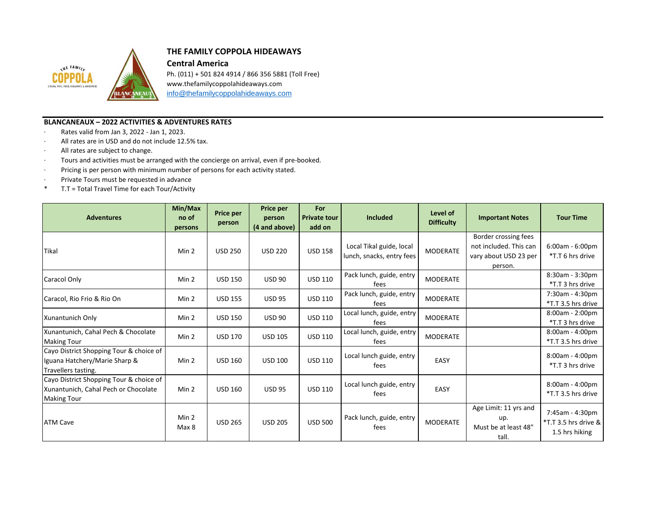

## **THE FAMILY COPPOLA HIDEAWAYS**

**Central America**

Ph. (011) + 501 824 4914 / 866 356 5881 (Toll Free) www.thefamilycoppolahideaways.com [info@thefamilycoppolahideaways.com](mailto:info@thefamilycoppolahideaways.com)

## **BLANCANEAUX – 2022 ACTIVITIES & ADVENTURES RATES**

- · Rates valid from Jan 3, 2022 Jan 1, 2023.
- · All rates are in USD and do not include 12.5% tax.
- · All rates are subject to change.
- · Tours and activities must be arranged with the concierge on arrival, even if pre-booked.
- · Pricing is per person with minimum number of persons for each activity stated.
- · Private Tours must be requested in advance
- \* T.T = Total Travel Time for each Tour/Activity

| <b>Adventures</b>                                                                                     | Min/Max<br>no of<br>persons | Price per<br>person | Price per<br>person<br>(4 and above) | For<br><b>Private tour</b><br>add on | <b>Included</b>                                       | Level of<br><b>Difficulty</b> | <b>Important Notes</b>                                                             | <b>Tour Time</b>                                          |
|-------------------------------------------------------------------------------------------------------|-----------------------------|---------------------|--------------------------------------|--------------------------------------|-------------------------------------------------------|-------------------------------|------------------------------------------------------------------------------------|-----------------------------------------------------------|
| Tikal                                                                                                 | Min 2                       | <b>USD 250</b>      | <b>USD 220</b>                       | <b>USD 158</b>                       | Local Tikal guide, local<br>lunch, snacks, entry fees | MODERATE                      | Border crossing fees<br>not included. This can<br>vary about USD 23 per<br>person. | $6:00am - 6:00pm$<br>*T.T 6 hrs drive                     |
| Caracol Only                                                                                          | Min 2                       | <b>USD 150</b>      | <b>USD 90</b>                        | <b>USD 110</b>                       | Pack lunch, guide, entry<br>fees                      | <b>MODERATE</b>               |                                                                                    | 8:30am - 3:30pm<br>*T.T 3 hrs drive                       |
| Caracol, Rio Frio & Rio On                                                                            | Min 2                       | <b>USD 155</b>      | <b>USD 95</b>                        | <b>USD 110</b>                       | Pack lunch, guide, entry<br>fees                      | MODERATE                      |                                                                                    | 7:30am - 4:30pm<br>*T.T 3.5 hrs drive                     |
| Xunantunich Only                                                                                      | Min 2                       | <b>USD 150</b>      | <b>USD 90</b>                        | <b>USD 110</b>                       | Local lunch, guide, entry<br>fees                     | MODERATE                      |                                                                                    | $8:00am - 2:00pm$<br>*T.T 3 hrs drive                     |
| Xunantunich, Cahal Pech & Chocolate<br><b>Making Tour</b>                                             | Min 2                       | <b>USD 170</b>      | <b>USD 105</b>                       | <b>USD 110</b>                       | Local lunch, guide, entry<br>fees                     | <b>MODERATE</b>               |                                                                                    | 8:00am - 4:00pm<br>*T.T 3.5 hrs drive                     |
| Cayo District Shopping Tour & choice of<br>Iguana Hatchery/Marie Sharp &<br>Travellers tasting.       | Min 2                       | <b>USD 160</b>      | <b>USD 100</b>                       | <b>USD 110</b>                       | Local lunch guide, entry<br>fees                      | EASY                          |                                                                                    | 8:00am - 4:00pm<br>*T.T 3 hrs drive                       |
| Cayo District Shopping Tour & choice of<br>Xunantunich, Cahal Pech or Chocolate<br><b>Making Tour</b> | Min 2                       | <b>USD 160</b>      | <b>USD 95</b>                        | <b>USD 110</b>                       | Local lunch guide, entry<br>fees                      | EASY                          |                                                                                    | 8:00am - 4:00pm<br>*T.T 3.5 hrs drive                     |
| <b>ATM Cave</b>                                                                                       | Min 2<br>Max 8              | <b>USD 265</b>      | <b>USD 205</b>                       | <b>USD 500</b>                       | Pack lunch, guide, entry<br>fees                      | <b>MODERATE</b>               | Age Limit: 11 yrs and<br>up.<br>Must be at least 48"<br>tall.                      | 7:45am - 4:30pm<br>*T.T 3.5 hrs drive &<br>1.5 hrs hiking |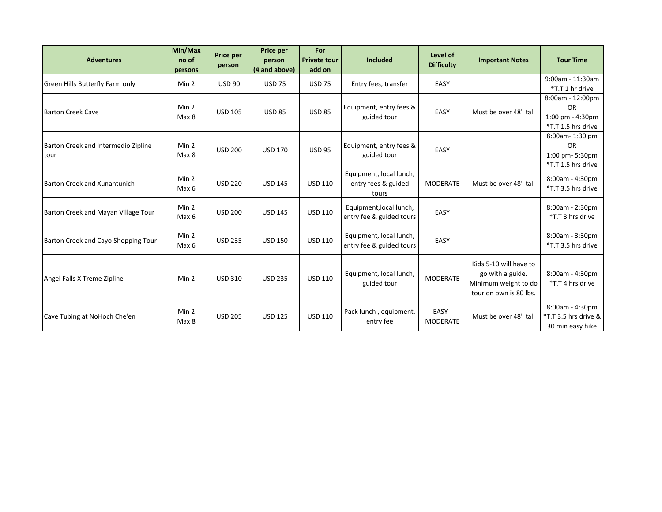| <b>Adventures</b>                           | Min/Max<br>no of<br>persons | <b>Price per</b><br>person | <b>Price per</b><br>person<br>(4 and above) | For<br><b>Private tour</b><br>add on | <b>Included</b>                                         | Level of<br><b>Difficulty</b> | <b>Important Notes</b>                                                                       | <b>Tour Time</b>                                                             |
|---------------------------------------------|-----------------------------|----------------------------|---------------------------------------------|--------------------------------------|---------------------------------------------------------|-------------------------------|----------------------------------------------------------------------------------------------|------------------------------------------------------------------------------|
| Green Hills Butterfly Farm only             | Min 2                       | <b>USD 90</b>              | <b>USD 75</b>                               | <b>USD 75</b>                        | Entry fees, transfer                                    | EASY                          |                                                                                              | 9:00am - 11:30am<br>*T.T 1 hr drive                                          |
| <b>Barton Creek Cave</b>                    | Min 2<br>Max 8              | <b>USD 105</b>             | <b>USD 85</b>                               | <b>USD 85</b>                        | Equipment, entry fees &<br>guided tour                  | EASY                          | Must be over 48" tall                                                                        | 8:00am - 12:00pm<br><b>OR</b><br>$1:00$ pm - $4:30$ pm<br>*T.T 1.5 hrs drive |
| Barton Creek and Intermedio Zipline<br>tour | Min 2<br>Max 8              | <b>USD 200</b>             | <b>USD 170</b>                              | <b>USD 95</b>                        | Equipment, entry fees &<br>guided tour                  | EASY                          |                                                                                              | 8:00am-1:30 pm<br><b>OR</b><br>1:00 pm- 5:30pm<br>*T.T 1.5 hrs drive         |
| Barton Creek and Xunantunich                | Min 2<br>Max 6              | <b>USD 220</b>             | <b>USD 145</b>                              | <b>USD 110</b>                       | Equipment, local lunch,<br>entry fees & guided<br>tours | <b>MODERATE</b>               | Must be over 48" tall                                                                        | 8:00am - 4:30pm<br>*T.T 3.5 hrs drive                                        |
| Barton Creek and Mayan Village Tour         | Min 2<br>Max 6              | <b>USD 200</b>             | <b>USD 145</b>                              | <b>USD 110</b>                       | Equipment, local lunch,<br>entry fee & guided tours     | EASY                          |                                                                                              | 8:00am - 2:30pm<br>*T.T 3 hrs drive                                          |
| Barton Creek and Cayo Shopping Tour         | Min 2<br>Max 6              | <b>USD 235</b>             | <b>USD 150</b>                              | <b>USD 110</b>                       | Equipment, local lunch,<br>entry fee & guided tours     | EASY                          |                                                                                              | 8:00am - 3:30pm<br>*T.T 3.5 hrs drive                                        |
| Angel Falls X Treme Zipline                 | Min 2                       | <b>USD 310</b>             | <b>USD 235</b>                              | <b>USD 110</b>                       | Equipment, local lunch,<br>guided tour                  | <b>MODERATE</b>               | Kids 5-10 will have to<br>go with a guide.<br>Minimum weight to do<br>tour on own is 80 lbs. | 8:00am - 4:30pm<br>*T.T 4 hrs drive                                          |
| Cave Tubing at NoHoch Che'en                | Min 2<br>Max 8              | <b>USD 205</b>             | <b>USD 125</b>                              | <b>USD 110</b>                       | Pack lunch, equipment,<br>entry fee                     | EASY-<br><b>MODERATE</b>      | Must be over 48" tall                                                                        | 8:00am - 4:30pm<br>*T.T 3.5 hrs drive &<br>30 min easy hike                  |